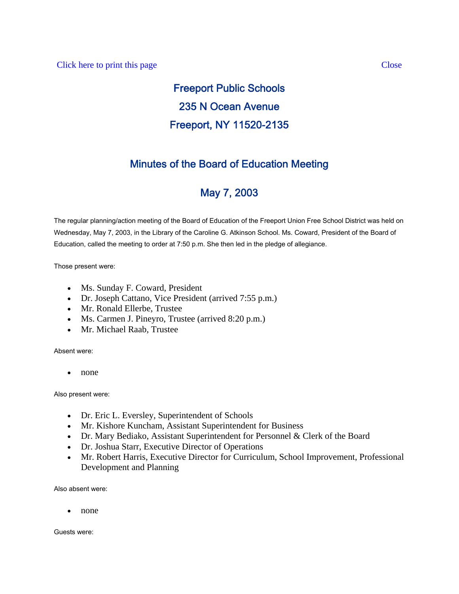# Freeport Public Schools 235 N Ocean Avenue Freeport, NY 11520-2135

# Minutes of the Board of Education Meeting

# May 7, 2003

The regular planning/action meeting of the Board of Education of the Freeport Union Free School District was held on Wednesday, May 7, 2003, in the Library of the Caroline G. Atkinson School. Ms. Coward, President of the Board of Education, called the meeting to order at 7:50 p.m. She then led in the pledge of allegiance.

Those present were:

- Ms. Sunday F. Coward, President
- Dr. Joseph Cattano, Vice President (arrived 7:55 p.m.)
- Mr. Ronald Ellerbe, Trustee
- Ms. Carmen J. Pineyro, Trustee (arrived 8:20 p.m.)
- Mr. Michael Raab, Trustee

Absent were:

• none

Also present were:

- Dr. Eric L. Eversley, Superintendent of Schools
- Mr. Kishore Kuncham, Assistant Superintendent for Business
- Dr. Mary Bediako, Assistant Superintendent for Personnel & Clerk of the Board
- Dr. Joshua Starr, Executive Director of Operations
- Mr. Robert Harris, Executive Director for Curriculum, School Improvement, Professional Development and Planning

Also absent were:

• none

Guests were: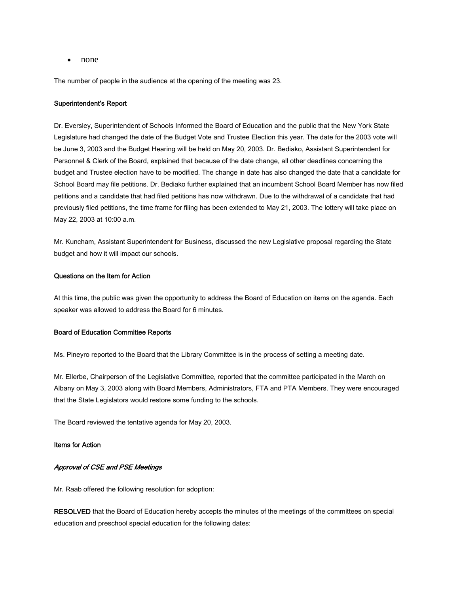• none

The number of people in the audience at the opening of the meeting was 23.

## Superintendent's Report

Dr. Eversley, Superintendent of Schools Informed the Board of Education and the public that the New York State Legislature had changed the date of the Budget Vote and Trustee Election this year. The date for the 2003 vote will be June 3, 2003 and the Budget Hearing will be held on May 20, 2003. Dr. Bediako, Assistant Superintendent for Personnel & Clerk of the Board, explained that because of the date change, all other deadlines concerning the budget and Trustee election have to be modified. The change in date has also changed the date that a candidate for School Board may file petitions. Dr. Bediako further explained that an incumbent School Board Member has now filed petitions and a candidate that had filed petitions has now withdrawn. Due to the withdrawal of a candidate that had previously filed petitions, the time frame for filing has been extended to May 21, 2003. The lottery will take place on May 22, 2003 at 10:00 a.m.

Mr. Kuncham, Assistant Superintendent for Business, discussed the new Legislative proposal regarding the State budget and how it will impact our schools.

### Questions on the Item for Action

At this time, the public was given the opportunity to address the Board of Education on items on the agenda. Each speaker was allowed to address the Board for 6 minutes.

#### Board of Education Committee Reports

Ms. Pineyro reported to the Board that the Library Committee is in the process of setting a meeting date.

Mr. Ellerbe, Chairperson of the Legislative Committee, reported that the committee participated in the March on Albany on May 3, 2003 along with Board Members, Administrators, FTA and PTA Members. They were encouraged that the State Legislators would restore some funding to the schools.

The Board reviewed the tentative agenda for May 20, 2003.

#### Items for Action

## Approval of CSE and PSE Meetings

Mr. Raab offered the following resolution for adoption:

RESOLVED that the Board of Education hereby accepts the minutes of the meetings of the committees on special education and preschool special education for the following dates: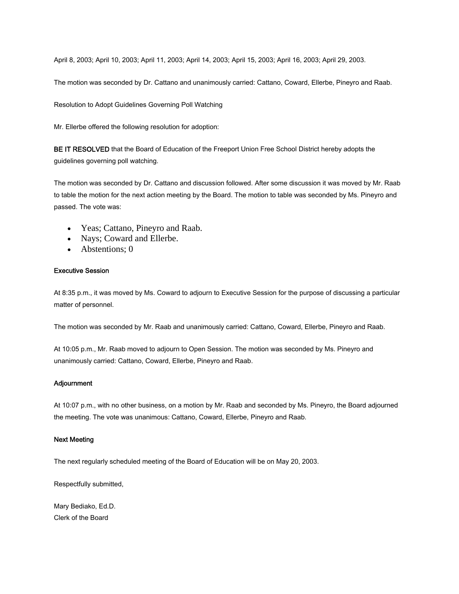April 8, 2003; April 10, 2003; April 11, 2003; April 14, 2003; April 15, 2003; April 16, 2003; April 29, 2003.

The motion was seconded by Dr. Cattano and unanimously carried: Cattano, Coward, Ellerbe, Pineyro and Raab.

Resolution to Adopt Guidelines Governing Poll Watching

Mr. Ellerbe offered the following resolution for adoption:

BE IT RESOLVED that the Board of Education of the Freeport Union Free School District hereby adopts the guidelines governing poll watching.

The motion was seconded by Dr. Cattano and discussion followed. After some discussion it was moved by Mr. Raab to table the motion for the next action meeting by the Board. The motion to table was seconded by Ms. Pineyro and passed. The vote was:

- Yeas; Cattano, Pineyro and Raab.
- Nays; Coward and Ellerbe.
- Abstentions; 0

#### Executive Session

At 8:35 p.m., it was moved by Ms. Coward to adjourn to Executive Session for the purpose of discussing a particular matter of personnel.

The motion was seconded by Mr. Raab and unanimously carried: Cattano, Coward, Ellerbe, Pineyro and Raab.

At 10:05 p.m., Mr. Raab moved to adjourn to Open Session. The motion was seconded by Ms. Pineyro and unanimously carried: Cattano, Coward, Ellerbe, Pineyro and Raab.

#### Adjournment

At 10:07 p.m., with no other business, on a motion by Mr. Raab and seconded by Ms. Pineyro, the Board adjourned the meeting. The vote was unanimous: Cattano, Coward, Ellerbe, Pineyro and Raab.

#### Next Meeting

The next regularly scheduled meeting of the Board of Education will be on May 20, 2003.

Respectfully submitted,

Mary Bediako, Ed.D. Clerk of the Board